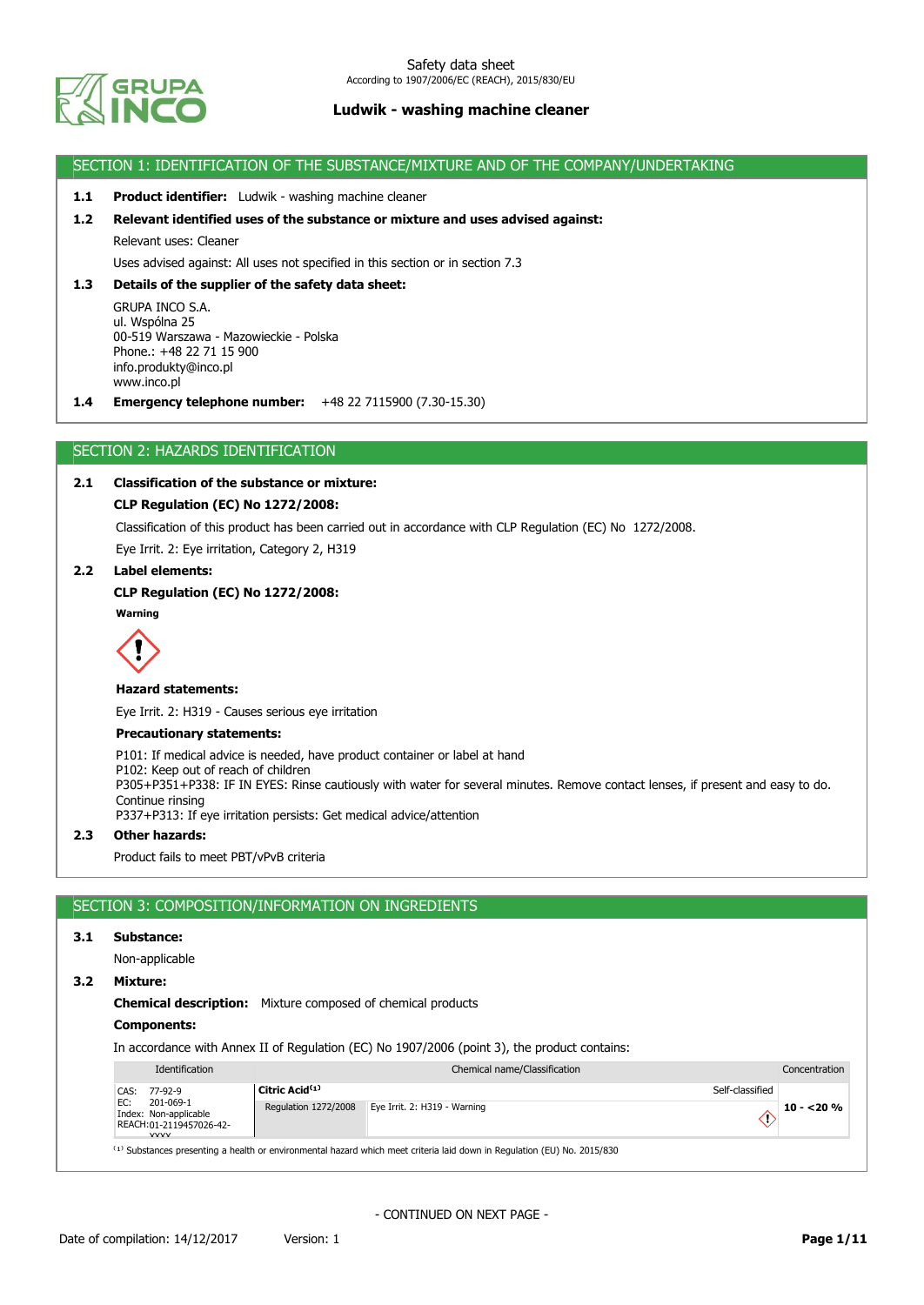

### SECTION 1: IDENTIFICATION OF THE SUBSTANCE/MIXTURE AND OF THE COMPANY/UNDERTAKING

### **1.1 Product identifier:** Ludwik - washing machine cleaner

### **1.2 Relevant identified uses of the substance or mixture and uses advised against:**

Relevant uses: Cleaner

Uses advised against: All uses not specified in this section or in section 7.3

### **1.3 Details of the supplier of the safety data sheet:**

GRUPA INCO S.A. ul. Wspólna 25 00-519 Warszawa - Mazowieckie - Polska Phone.: +48 22 71 15 900 info.produkty@inco.pl www.inco.pl

**1.4 Emergency telephone number:** +48 22 7115900 (7.30-15.30)

### SECTION 2: HAZARDS IDENTIFICATION

## **2.1 Classification of the substance or mixture:**

### **CLP Regulation (EC) No 1272/2008:**

Classification of this product has been carried out in accordance with CLP Regulation (EC) No 1272/2008.

Eye Irrit. 2: Eye irritation, Category 2, H319

## **2.2 Label elements:**

### **CLP Regulation (EC) No 1272/2008:**





#### **Hazard statements:**

Eye Irrit. 2: H319 - Causes serious eye irritation

#### **Precautionary statements:**

P101: If medical advice is needed, have product container or label at hand P102: Keep out of reach of children P305+P351+P338: IF IN EYES: Rinse cautiously with water for several minutes. Remove contact lenses, if present and easy to do. Continue rinsing P337+P313: If eye irritation persists: Get medical advice/attention

## **2.3 Other hazards:**

Product fails to meet PBT/vPvB criteria

# SECTION 3: COMPOSITION/INFORMATION ON INGREDIENTS

### **3.1 Substance:**

Non-applicable

### **3.2 Mixture:**

### **Chemical description:** Mixture composed of chemical products

## **Components:**

In accordance with Annex II of Regulation (EC) No 1907/2006 (point 3), the product contains:

| Identification                                                                      | Chemical name/Classification |                              |              |
|-------------------------------------------------------------------------------------|------------------------------|------------------------------|--------------|
| CAS: 77-92-9                                                                        | Citric Acid <sup>(1)</sup>   | Self-classified              |              |
| 201-069-1<br>EC:<br>Index: Non-applicable<br>REACH:01-2119457026-42-<br><b>VVVV</b> | Regulation 1272/2008         | Eye Irrit. 2: H319 - Warning | $10 - 20 \%$ |

 $(1)$  Substances presenting a health or environmental hazard which meet criteria laid down in Regulation (EU) No. 2015/830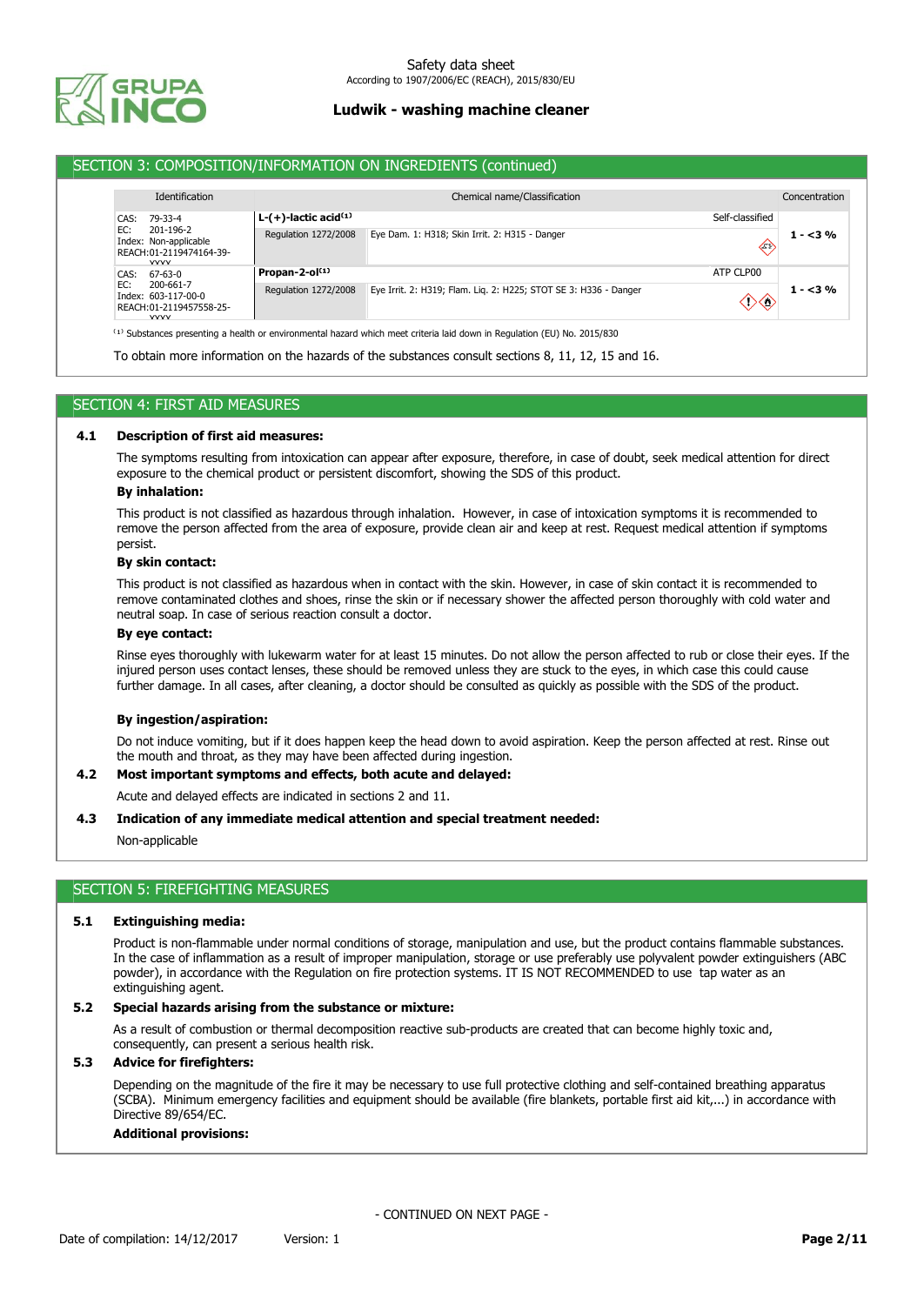

## SECTION 3: COMPOSITION/INFORMATION ON INGREDIENTS (continued)

| <b>Identification</b>                                                               |                                                   | Chemical name/Classification                                     |                         | Concentration |
|-------------------------------------------------------------------------------------|---------------------------------------------------|------------------------------------------------------------------|-------------------------|---------------|
| 79-33-4<br>CAS:                                                                     | L- $(+)$ -lactic acid <sup><math>(i)</math></sup> |                                                                  | Self-classified         |               |
| EC:<br>201-196-2<br>Index: Non-applicable<br>REACH:01-2119474164-39-<br><b>VVVV</b> | Regulation 1272/2008                              | Eye Dam. 1: H318; Skin Irrit. 2: H315 - Danger                   | $\langle \cdot \rangle$ | $1 - 3\%$     |
| CAS:<br>67-63-0                                                                     | Propan-2-ol $(1)$                                 |                                                                  | ATP CLP00               |               |
| EC:<br>200-661-7<br>Index: 603-117-00-0<br>REACH:01-2119457558-25-<br><b>VVVV</b>   | Regulation 1272/2008                              | Eye Irrit. 2: H319; Flam. Lig. 2: H225; STOT SE 3: H336 - Danger | $\rightarrow \odot$     | $1 - 3%$      |

 $(1)$  Substances presenting a health or environmental hazard which meet criteria laid down in Regulation (EU) No. 2015/830

To obtain more information on the hazards of the substances consult sections 8, 11, 12, 15 and 16.

## SECTION 4: FIRST AID MEASURES

### **4.1 Description of first aid measures:**

The symptoms resulting from intoxication can appear after exposure, therefore, in case of doubt, seek medical attention for direct exposure to the chemical product or persistent discomfort, showing the SDS of this product.

#### **By inhalation:**

This product is not classified as hazardous through inhalation. However, in case of intoxication symptoms it is recommended to remove the person affected from the area of exposure, provide clean air and keep at rest. Request medical attention if symptoms persist.

#### **By skin contact:**

This product is not classified as hazardous when in contact with the skin. However, in case of skin contact it is recommended to remove contaminated clothes and shoes, rinse the skin or if necessary shower the affected person thoroughly with cold water and neutral soap. In case of serious reaction consult a doctor.

### **By eye contact:**

Rinse eyes thoroughly with lukewarm water for at least 15 minutes. Do not allow the person affected to rub or close their eyes. If the injured person uses contact lenses, these should be removed unless they are stuck to the eyes, in which case this could cause further damage. In all cases, after cleaning, a doctor should be consulted as quickly as possible with the SDS of the product.

#### **By ingestion/aspiration:**

Do not induce vomiting, but if it does happen keep the head down to avoid aspiration. Keep the person affected at rest. Rinse out the mouth and throat, as they may have been affected during ingestion.

### **4.2 Most important symptoms and effects, both acute and delayed:**

Acute and delayed effects are indicated in sections 2 and 11.

### **4.3 Indication of any immediate medical attention and special treatment needed:**

Non-applicable

## SECTION 5: FIREFIGHTING MEASURES

### **5.1 Extinguishing media:**

Product is non-flammable under normal conditions of storage, manipulation and use, but the product contains flammable substances. In the case of inflammation as a result of improper manipulation, storage or use preferably use polyvalent powder extinguishers (ABC powder), in accordance with the Regulation on fire protection systems. IT IS NOT RECOMMENDED to use tap water as an extinguishing agent.

### **5.2 Special hazards arising from the substance or mixture:**

As a result of combustion or thermal decomposition reactive sub-products are created that can become highly toxic and, consequently, can present a serious health risk.

## **5.3 Advice for firefighters:**

Depending on the magnitude of the fire it may be necessary to use full protective clothing and self-contained breathing apparatus (SCBA). Minimum emergency facilities and equipment should be available (fire blankets, portable first aid kit,...) in accordance with Directive 89/654/EC.

### **Additional provisions:**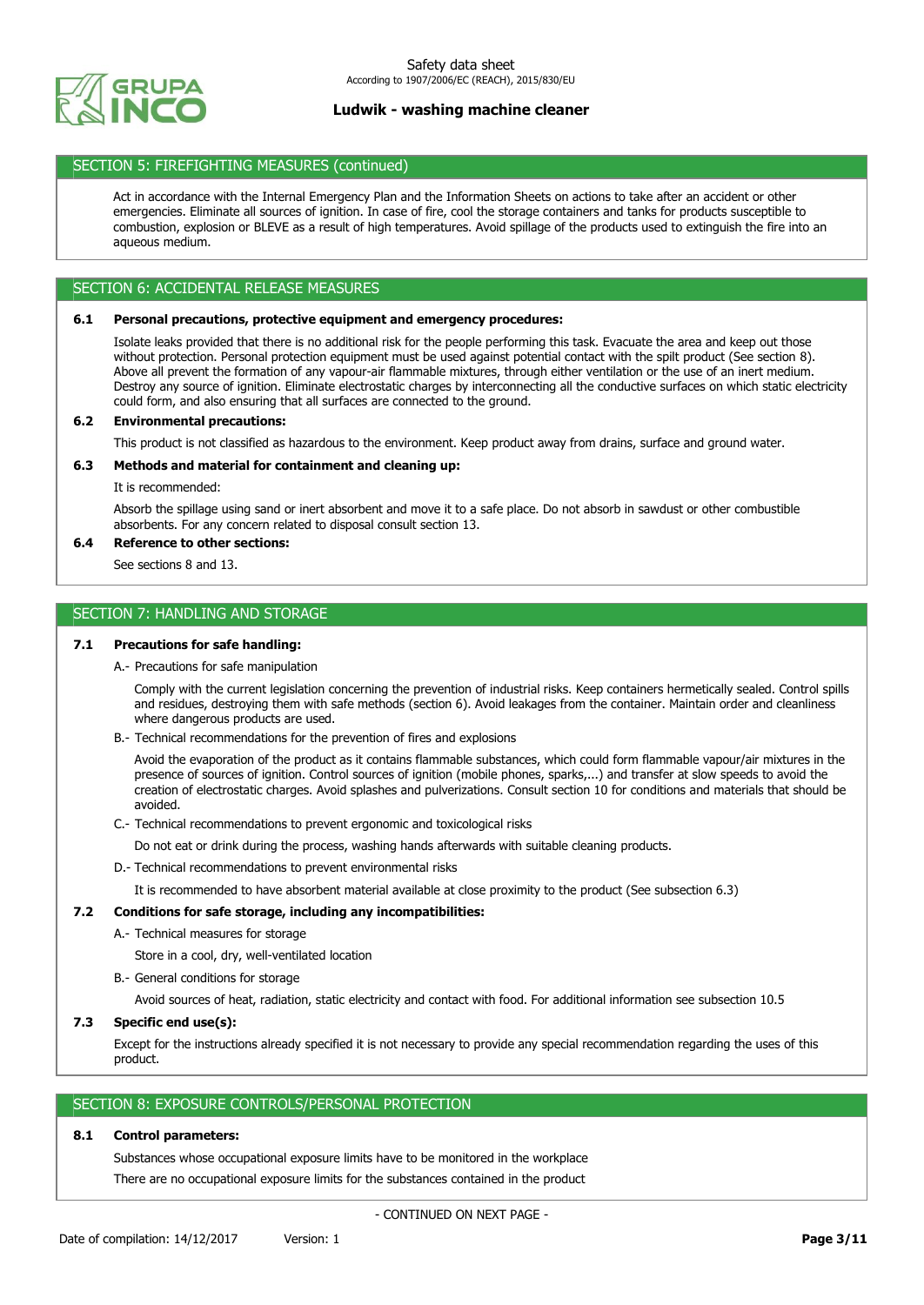

## SECTION 5: FIREFIGHTING MEASURES (continued)

Act in accordance with the Internal Emergency Plan and the Information Sheets on actions to take after an accident or other emergencies. Eliminate all sources of ignition. In case of fire, cool the storage containers and tanks for products susceptible to combustion, explosion or BLEVE as a result of high temperatures. Avoid spillage of the products used to extinguish the fire into an aqueous medium.

## SECTION 6: ACCIDENTAL RELEASE MEASURES

## **6.1 Personal precautions, protective equipment and emergency procedures:**

Isolate leaks provided that there is no additional risk for the people performing this task. Evacuate the area and keep out those without protection. Personal protection equipment must be used against potential contact with the spilt product (See section 8). Above all prevent the formation of any vapour-air flammable mixtures, through either ventilation or the use of an inert medium. Destroy any source of ignition. Eliminate electrostatic charges by interconnecting all the conductive surfaces on which static electricity could form, and also ensuring that all surfaces are connected to the ground.

### **6.2 Environmental precautions:**

This product is not classified as hazardous to the environment. Keep product away from drains, surface and ground water.

### **6.3 Methods and material for containment and cleaning up:**

It is recommended:

Absorb the spillage using sand or inert absorbent and move it to a safe place. Do not absorb in sawdust or other combustible absorbents. For any concern related to disposal consult section 13.

### **6.4 Reference to other sections:**

See sections 8 and 13.

## SECTION 7: HANDLING AND STORAGE

### **7.1 Precautions for safe handling:**

A.- Precautions for safe manipulation

Comply with the current legislation concerning the prevention of industrial risks. Keep containers hermetically sealed. Control spills and residues, destroying them with safe methods (section 6). Avoid leakages from the container. Maintain order and cleanliness where dangerous products are used.

B.- Technical recommendations for the prevention of fires and explosions

Avoid the evaporation of the product as it contains flammable substances, which could form flammable vapour/air mixtures in the presence of sources of ignition. Control sources of ignition (mobile phones, sparks,...) and transfer at slow speeds to avoid the creation of electrostatic charges. Avoid splashes and pulverizations. Consult section 10 for conditions and materials that should be avoided.

C.- Technical recommendations to prevent ergonomic and toxicological risks

Do not eat or drink during the process, washing hands afterwards with suitable cleaning products.

D.- Technical recommendations to prevent environmental risks

It is recommended to have absorbent material available at close proximity to the product (See subsection 6.3)

### **7.2 Conditions for safe storage, including any incompatibilities:**

A.- Technical measures for storage

Store in a cool, dry, well-ventilated location

B.- General conditions for storage

Avoid sources of heat, radiation, static electricity and contact with food. For additional information see subsection 10.5

### **7.3 Specific end use(s):**

Except for the instructions already specified it is not necessary to provide any special recommendation regarding the uses of this product.

## SECTION 8: EXPOSURE CONTROLS/PERSONAL PROTECTION

### **8.1 Control parameters:**

Substances whose occupational exposure limits have to be monitored in the workplace There are no occupational exposure limits for the substances contained in the product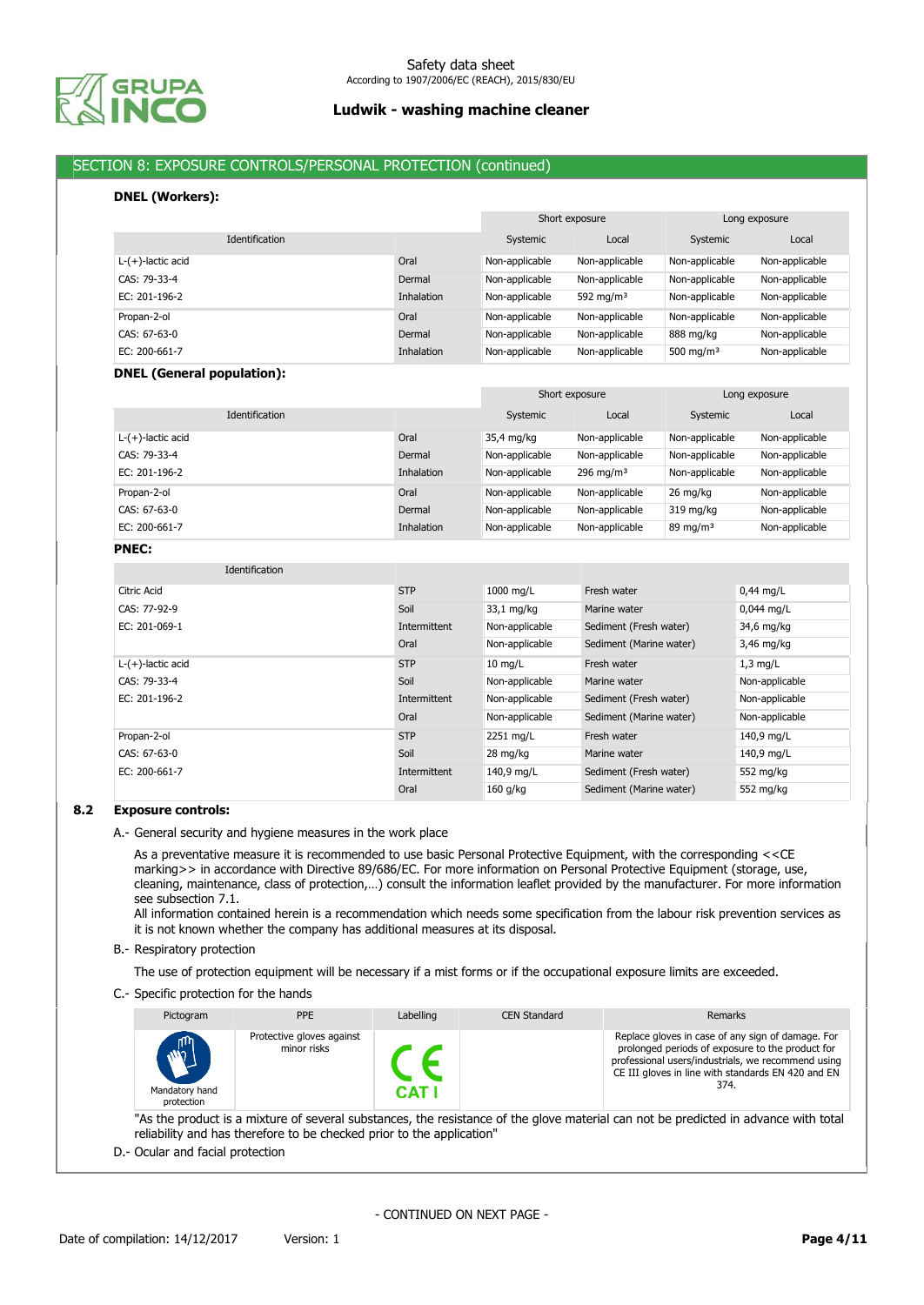

# SECTION 8: EXPOSURE CONTROLS/PERSONAL PROTECTION (continued)

## **DNEL (Workers):**

|                       |                   |                | Short exposure        |                | Long exposure  |
|-----------------------|-------------------|----------------|-----------------------|----------------|----------------|
| <b>Identification</b> |                   | Systemic       | Local                 | Systemic       | Local          |
| $L-(+)$ -lactic acid  | Oral              | Non-applicable | Non-applicable        | Non-applicable | Non-applicable |
| CAS: 79-33-4          | Dermal            | Non-applicable | Non-applicable        | Non-applicable | Non-applicable |
| EC: 201-196-2         | <b>Inhalation</b> | Non-applicable | 592 mg/m <sup>3</sup> | Non-applicable | Non-applicable |
| Propan-2-ol           | Oral              | Non-applicable | Non-applicable        | Non-applicable | Non-applicable |
| CAS: 67-63-0          | Dermal            | Non-applicable | Non-applicable        | 888 mg/kg      | Non-applicable |
| EC: 200-661-7         | <b>Inhalation</b> | Non-applicable | Non-applicable        | 500 mg/m $3$   | Non-applicable |

### **DNEL (General population):**

|                      |            | Short exposure |                | Long exposure  |                |
|----------------------|------------|----------------|----------------|----------------|----------------|
| Identification       |            | Systemic       | Local          | Systemic       | Local          |
| $L-(+)$ -lactic acid | Oral       | 35,4 mg/kg     | Non-applicable | Non-applicable | Non-applicable |
| CAS: 79-33-4         | Dermal     | Non-applicable | Non-applicable | Non-applicable | Non-applicable |
| EC: 201-196-2        | Inhalation | Non-applicable | 296 mg/m $3$   | Non-applicable | Non-applicable |
| Propan-2-ol          | Oral       | Non-applicable | Non-applicable | 26 mg/kg       | Non-applicable |
| CAS: 67-63-0         | Dermal     | Non-applicable | Non-applicable | 319 mg/kg      | Non-applicable |
| EC: 200-661-7        | Inhalation | Non-applicable | Non-applicable | 89 mg/m $3$    | Non-applicable |

### **PNEC:**

| Identification       |              |                   |                         |                |
|----------------------|--------------|-------------------|-------------------------|----------------|
| Citric Acid          | <b>STP</b>   | 1000 mg/L         | Fresh water             | $0,44$ mg/L    |
| CAS: 77-92-9         | Soil         | 33,1 mg/kg        | Marine water            | $0,044$ mg/L   |
| EC: 201-069-1        | Intermittent | Non-applicable    | Sediment (Fresh water)  | 34,6 mg/kg     |
|                      | Oral         | Non-applicable    | Sediment (Marine water) | 3,46 mg/kg     |
| $L-(+)$ -lactic acid | <b>STP</b>   | $10 \text{ mg/L}$ | Fresh water             | $1,3$ mg/L     |
| CAS: 79-33-4         | Soil         | Non-applicable    | Marine water            | Non-applicable |
| EC: 201-196-2        | Intermittent | Non-applicable    | Sediment (Fresh water)  | Non-applicable |
|                      | Oral         | Non-applicable    | Sediment (Marine water) | Non-applicable |
| Propan-2-ol          | <b>STP</b>   | 2251 mg/L         | Fresh water             | 140,9 mg/L     |
| CAS: 67-63-0         | Soil         | 28 mg/kg          | Marine water            | 140,9 mg/L     |
| EC: 200-661-7        | Intermittent | 140,9 mg/L        | Sediment (Fresh water)  | 552 mg/kg      |
|                      | Oral         | $160$ g/kg        | Sediment (Marine water) | 552 mg/kg      |

### **8.2 Exposure controls:**

A.- General security and hygiene measures in the work place

As a preventative measure it is recommended to use basic Personal Protective Equipment, with the corresponding <<CE marking>> in accordance with Directive 89/686/EC. For more information on Personal Protective Equipment (storage, use, cleaning, maintenance, class of protection,…) consult the information leaflet provided by the manufacturer. For more information see subsection 7.1.

All information contained herein is a recommendation which needs some specification from the labour risk prevention services as it is not known whether the company has additional measures at its disposal.

B.- Respiratory protection

The use of protection equipment will be necessary if a mist forms or if the occupational exposure limits are exceeded.

C.- Specific protection for the hands

| Pictogram                                    | <b>PPE</b>                               | Labelling | <b>CEN Standard</b> | Remarks                                                                                                                                                                                                                   |
|----------------------------------------------|------------------------------------------|-----------|---------------------|---------------------------------------------------------------------------------------------------------------------------------------------------------------------------------------------------------------------------|
| $\mathbb{Z}$<br>Mandatory hand<br>protection | Protective gloves against<br>minor risks | CAT I     |                     | Replace gloves in case of any sign of damage. For<br>prolonged periods of exposure to the product for<br>professional users/industrials, we recommend using<br>CE III gloves in line with standards EN 420 and EN<br>374. |

"As the product is a mixture of several substances, the resistance of the glove material can not be predicted in advance with total reliability and has therefore to be checked prior to the application"

D.- Ocular and facial protection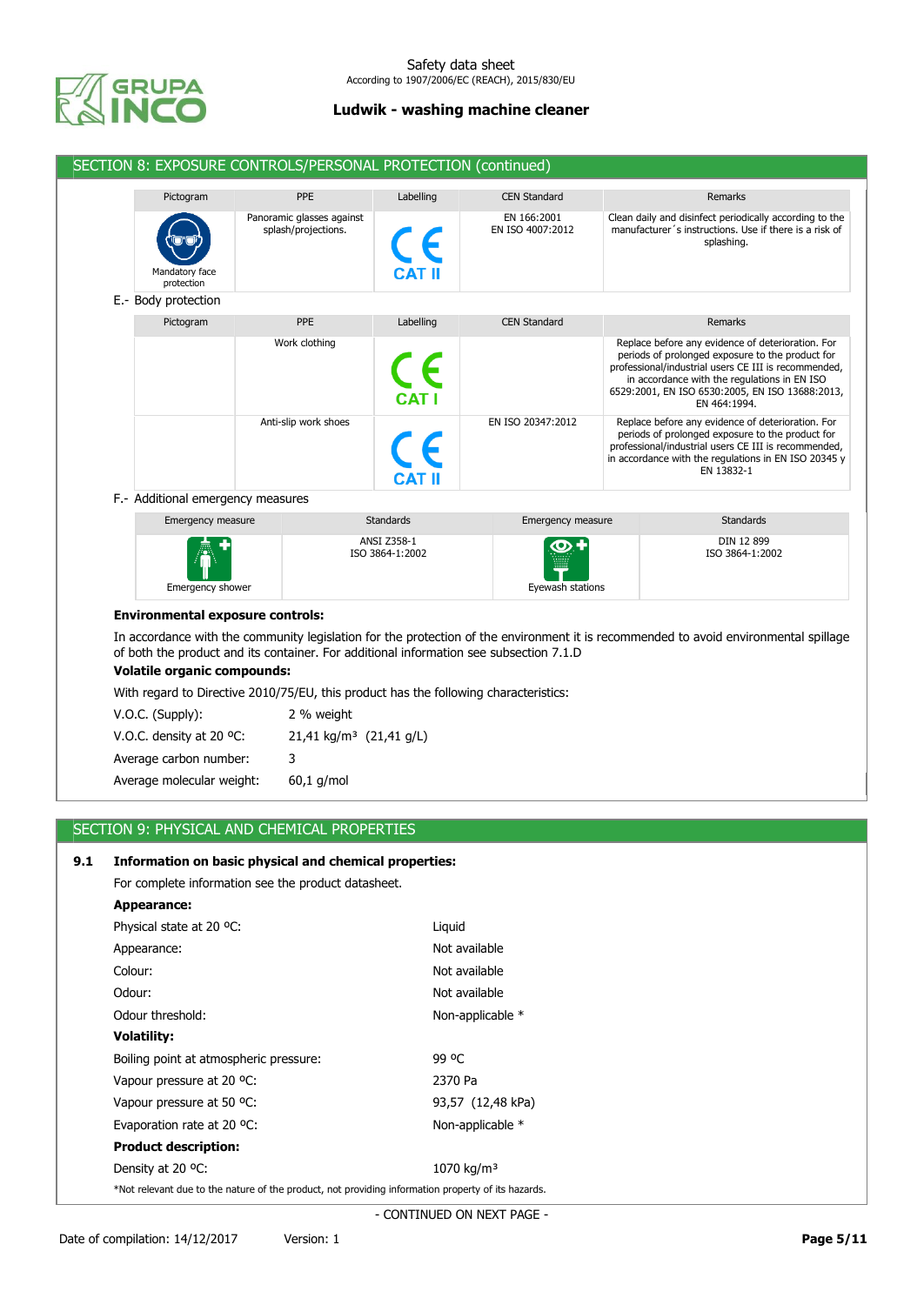

|                                         | SECTION 8: EXPOSURE CONTROLS/PERSONAL PROTECTION (continued)                           |                                |                                 |                                                                                                                                                                                                                                                                                  |
|-----------------------------------------|----------------------------------------------------------------------------------------|--------------------------------|---------------------------------|----------------------------------------------------------------------------------------------------------------------------------------------------------------------------------------------------------------------------------------------------------------------------------|
| Pictogram                               | <b>PPE</b>                                                                             | Labelling                      | <b>CEN Standard</b>             | Remarks                                                                                                                                                                                                                                                                          |
| Mandatory face<br>protection            | Panoramic glasses against<br>splash/projections.                                       |                                | EN 166:2001<br>EN ISO 4007:2012 | Clean daily and disinfect periodically according to the<br>manufacturer's instructions. Use if there is a risk of<br>splashing.                                                                                                                                                  |
| E.- Body protection                     |                                                                                        |                                |                                 |                                                                                                                                                                                                                                                                                  |
| Pictogram                               | PPE                                                                                    | Labelling                      | <b>CEN Standard</b>             | Remarks                                                                                                                                                                                                                                                                          |
|                                         | Work clothing                                                                          |                                |                                 | Replace before any evidence of deterioration. For<br>periods of prolonged exposure to the product for<br>professional/industrial users CE III is recommended,<br>in accordance with the regulations in EN ISO<br>6529:2001, EN ISO 6530:2005, EN ISO 13688:2013,<br>EN 464:1994. |
|                                         | Anti-slip work shoes                                                                   |                                | EN ISO 20347:2012               | Replace before any evidence of deterioration. For<br>periods of prolonged exposure to the product for<br>professional/industrial users CE III is recommended,<br>in accordance with the regulations in EN ISO 20345 y<br>EN 13832-1                                              |
| F.- Additional emergency measures       |                                                                                        |                                |                                 |                                                                                                                                                                                                                                                                                  |
| Emergency measure                       |                                                                                        | <b>Standards</b>               | Emergency measure               | <b>Standards</b>                                                                                                                                                                                                                                                                 |
| Emergency shower                        |                                                                                        | ANSI Z358-1<br>ISO 3864-1:2002 | Eyewash stations                | DIN 12 899<br>ISO 3864-1:2002                                                                                                                                                                                                                                                    |
| <b>Environmental exposure controls:</b> |                                                                                        |                                |                                 |                                                                                                                                                                                                                                                                                  |
| <b>Volatile organic compounds:</b>      | of both the product and its container. For additional information see subsection 7.1.D |                                |                                 | In accordance with the community legislation for the protection of the environment it is recommended to avoid environmental spillage                                                                                                                                             |
|                                         | With regard to Directive 2010/75/EU, this product has the following characteristics:   |                                |                                 |                                                                                                                                                                                                                                                                                  |
| V.O.C. (Supply):                        | 2 % weight                                                                             |                                |                                 |                                                                                                                                                                                                                                                                                  |
| V.O.C. density at 20 °C:                | 21,41 kg/m <sup>3</sup> (21,41 g/L)                                                    |                                |                                 |                                                                                                                                                                                                                                                                                  |
|                                         | 3                                                                                      |                                |                                 |                                                                                                                                                                                                                                                                                  |
| Average carbon number:                  |                                                                                        |                                |                                 |                                                                                                                                                                                                                                                                                  |

# SECTION 9: PHYSICAL AND CHEMICAL PROPERTIES

## **9.1 Information on basic physical and chemical properties:**

For complete information see the product datasheet.

| <b>Appearance:</b>                                                                                 |                        |
|----------------------------------------------------------------------------------------------------|------------------------|
| Physical state at 20 °C:                                                                           | Liguid                 |
| Appearance:                                                                                        | Not available          |
| Colour:                                                                                            | Not available          |
| Odour:                                                                                             | Not available          |
| Odour threshold:                                                                                   | Non-applicable *       |
| <b>Volatility:</b>                                                                                 |                        |
| Boiling point at atmospheric pressure:                                                             | 99 OC                  |
| Vapour pressure at 20 °C:                                                                          | 2370 Pa                |
| Vapour pressure at 50 °C:                                                                          | 93,57 (12,48 kPa)      |
| Evaporation rate at 20 °C:                                                                         | Non-applicable *       |
| <b>Product description:</b>                                                                        |                        |
| Density at 20 °C:                                                                                  | 1070 kg/m <sup>3</sup> |
| *Not relevant due to the nature of the product, not providing information property of its hazards. |                        |
|                                                                                                    |                        |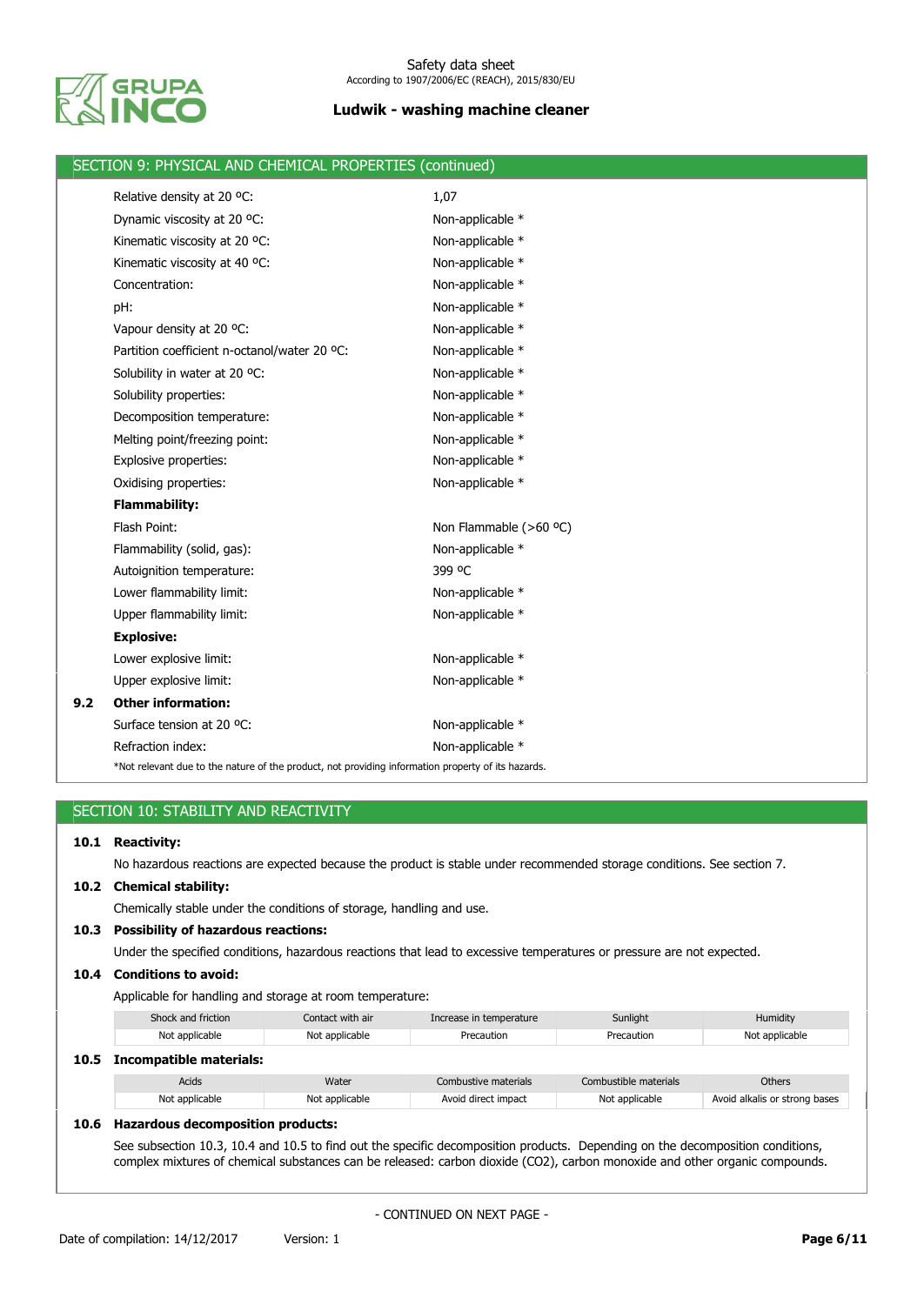

|     | SECTION 9: PHYSICAL AND CHEMICAL PROPERTIES (continued)                                            |                        |  |  |  |  |  |
|-----|----------------------------------------------------------------------------------------------------|------------------------|--|--|--|--|--|
|     | Relative density at 20 °C:                                                                         | 1,07                   |  |  |  |  |  |
|     | Dynamic viscosity at 20 °C:                                                                        | Non-applicable *       |  |  |  |  |  |
|     | Kinematic viscosity at 20 °C:                                                                      | Non-applicable *       |  |  |  |  |  |
|     | Kinematic viscosity at 40 °C:                                                                      | Non-applicable *       |  |  |  |  |  |
|     | Concentration:                                                                                     | Non-applicable *       |  |  |  |  |  |
|     | pH:                                                                                                | Non-applicable *       |  |  |  |  |  |
|     | Vapour density at 20 °C:                                                                           | Non-applicable *       |  |  |  |  |  |
|     | Partition coefficient n-octanol/water 20 °C:                                                       | Non-applicable *       |  |  |  |  |  |
|     | Solubility in water at 20 °C:                                                                      | Non-applicable *       |  |  |  |  |  |
|     | Solubility properties:                                                                             | Non-applicable *       |  |  |  |  |  |
|     | Decomposition temperature:                                                                         | Non-applicable *       |  |  |  |  |  |
|     | Melting point/freezing point:                                                                      | Non-applicable *       |  |  |  |  |  |
|     | <b>Explosive properties:</b>                                                                       | Non-applicable *       |  |  |  |  |  |
|     | Oxidising properties:                                                                              | Non-applicable *       |  |  |  |  |  |
|     | <b>Flammability:</b>                                                                               |                        |  |  |  |  |  |
|     | Flash Point:                                                                                       | Non Flammable (>60 °C) |  |  |  |  |  |
|     | Flammability (solid, gas):                                                                         | Non-applicable *       |  |  |  |  |  |
|     | Autoignition temperature:                                                                          | 399 °C                 |  |  |  |  |  |
|     | Lower flammability limit:                                                                          | Non-applicable *       |  |  |  |  |  |
|     | Upper flammability limit:                                                                          | Non-applicable *       |  |  |  |  |  |
|     | <b>Explosive:</b>                                                                                  |                        |  |  |  |  |  |
|     | Lower explosive limit:                                                                             | Non-applicable *       |  |  |  |  |  |
|     | Upper explosive limit:                                                                             | Non-applicable *       |  |  |  |  |  |
| 9.2 | <b>Other information:</b>                                                                          |                        |  |  |  |  |  |
|     | Surface tension at 20 °C:                                                                          | Non-applicable *       |  |  |  |  |  |
|     | Refraction index:                                                                                  | Non-applicable *       |  |  |  |  |  |
|     | *Not relevant due to the nature of the product, not providing information property of its hazards. |                        |  |  |  |  |  |

# SECTION 10: STABILITY AND REACTIVITY

| 10.1 Reactivity:                                                                                                       |
|------------------------------------------------------------------------------------------------------------------------|
| No hazardous reactions are expected because the product is stable under recommended storage conditions. See section 7. |

# **10.2 Chemical stability:**

Chemically stable under the conditions of storage, handling and use.

## **10.3 Possibility of hazardous reactions:**

Under the specified conditions, hazardous reactions that lead to excessive temperatures or pressure are not expected.

## **10.4 Conditions to avoid:**

Applicable for handling and storage at room temperature:

|      | Shock and friction<br>Contact with air |                | Increase in temperature | Sunlight              | Humidity       |  |
|------|----------------------------------------|----------------|-------------------------|-----------------------|----------------|--|
|      | Not applicable                         | Not applicable | Precaution              | Precaution            | Not applicable |  |
|      |                                        |                |                         |                       |                |  |
| 10.5 | Incompatible materials:                |                |                         |                       |                |  |
|      | Acids                                  | Water          | Combustive materials    | Combustible materials | Others         |  |

## **10.6 Hazardous decomposition products:**

See subsection 10.3, 10.4 and 10.5 to find out the specific decomposition products. Depending on the decomposition conditions, complex mixtures of chemical substances can be released: carbon dioxide (CO2), carbon monoxide and other organic compounds.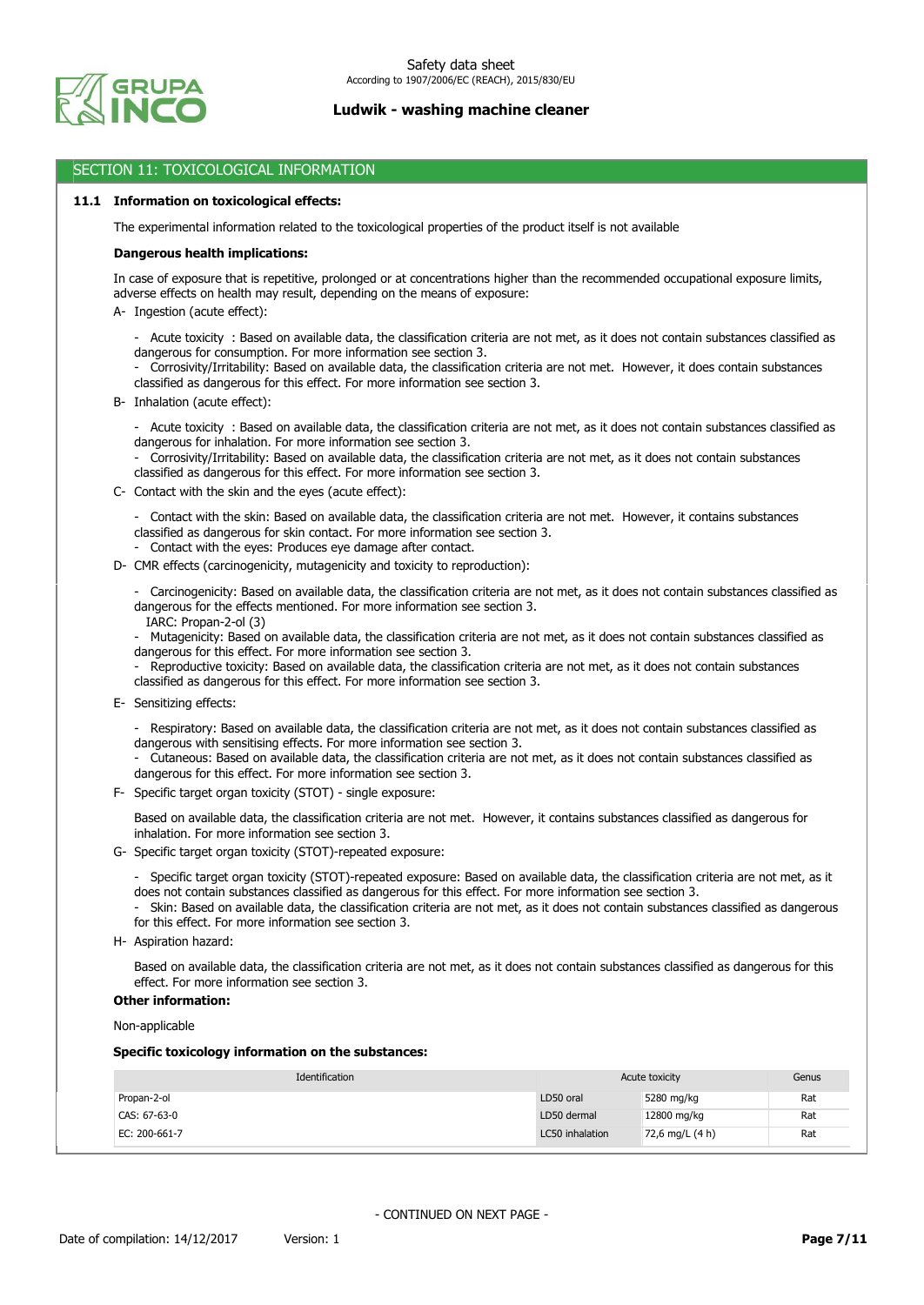

### SECTION 11: TOXICOLOGICAL INFORMATION

### **11.1 Information on toxicological effects:**

The experimental information related to the toxicological properties of the product itself is not available

### **Dangerous health implications:**

In case of exposure that is repetitive, prolonged or at concentrations higher than the recommended occupational exposure limits, adverse effects on health may result, depending on the means of exposure:

- A- Ingestion (acute effect):
	- Acute toxicity : Based on available data, the classification criteria are not met, as it does not contain substances classified as dangerous for consumption. For more information see section 3.
	- Corrosivity/Irritability: Based on available data, the classification criteria are not met. However, it does contain substances classified as dangerous for this effect. For more information see section 3.
- B- Inhalation (acute effect):
	- Acute toxicity : Based on available data, the classification criteria are not met, as it does not contain substances classified as dangerous for inhalation. For more information see section 3.

- Corrosivity/Irritability: Based on available data, the classification criteria are not met, as it does not contain substances classified as dangerous for this effect. For more information see section 3.

- C- Contact with the skin and the eyes (acute effect):
	- Contact with the skin: Based on available data, the classification criteria are not met. However, it contains substances classified as dangerous for skin contact. For more information see section 3.
	- Contact with the eyes: Produces eye damage after contact.
- D- CMR effects (carcinogenicity, mutagenicity and toxicity to reproduction):
	- Carcinogenicity: Based on available data, the classification criteria are not met, as it does not contain substances classified as dangerous for the effects mentioned. For more information see section 3.
		- IARC: Propan-2-ol (3)
	- Mutagenicity: Based on available data, the classification criteria are not met, as it does not contain substances classified as dangerous for this effect. For more information see section 3.
	- Reproductive toxicity: Based on available data, the classification criteria are not met, as it does not contain substances classified as dangerous for this effect. For more information see section 3.
- E- Sensitizing effects:
	- Respiratory: Based on available data, the classification criteria are not met, as it does not contain substances classified as dangerous with sensitising effects. For more information see section 3.
	- Cutaneous: Based on available data, the classification criteria are not met, as it does not contain substances classified as dangerous for this effect. For more information see section 3.
- F- Specific target organ toxicity (STOT) single exposure:

Based on available data, the classification criteria are not met. However, it contains substances classified as dangerous for inhalation. For more information see section 3.

- G- Specific target organ toxicity (STOT)-repeated exposure:
	- Specific target organ toxicity (STOT)-repeated exposure: Based on available data, the classification criteria are not met, as it does not contain substances classified as dangerous for this effect. For more information see section 3.
	- Skin: Based on available data, the classification criteria are not met, as it does not contain substances classified as dangerous for this effect. For more information see section 3.
- H- Aspiration hazard:

Based on available data, the classification criteria are not met, as it does not contain substances classified as dangerous for this effect. For more information see section 3.

## **Other information:**

Non-applicable

### **Specific toxicology information on the substances:**

| Identification |                 | Acute toxicity  | Genus |
|----------------|-----------------|-----------------|-------|
| Propan-2-ol    | LD50 oral       | 5280 mg/kg      | Rat   |
| CAS: 67-63-0   | LD50 dermal     | 12800 mg/kg     | Rat   |
| EC: 200-661-7  | LC50 inhalation | 72,6 mg/L (4 h) | Rat   |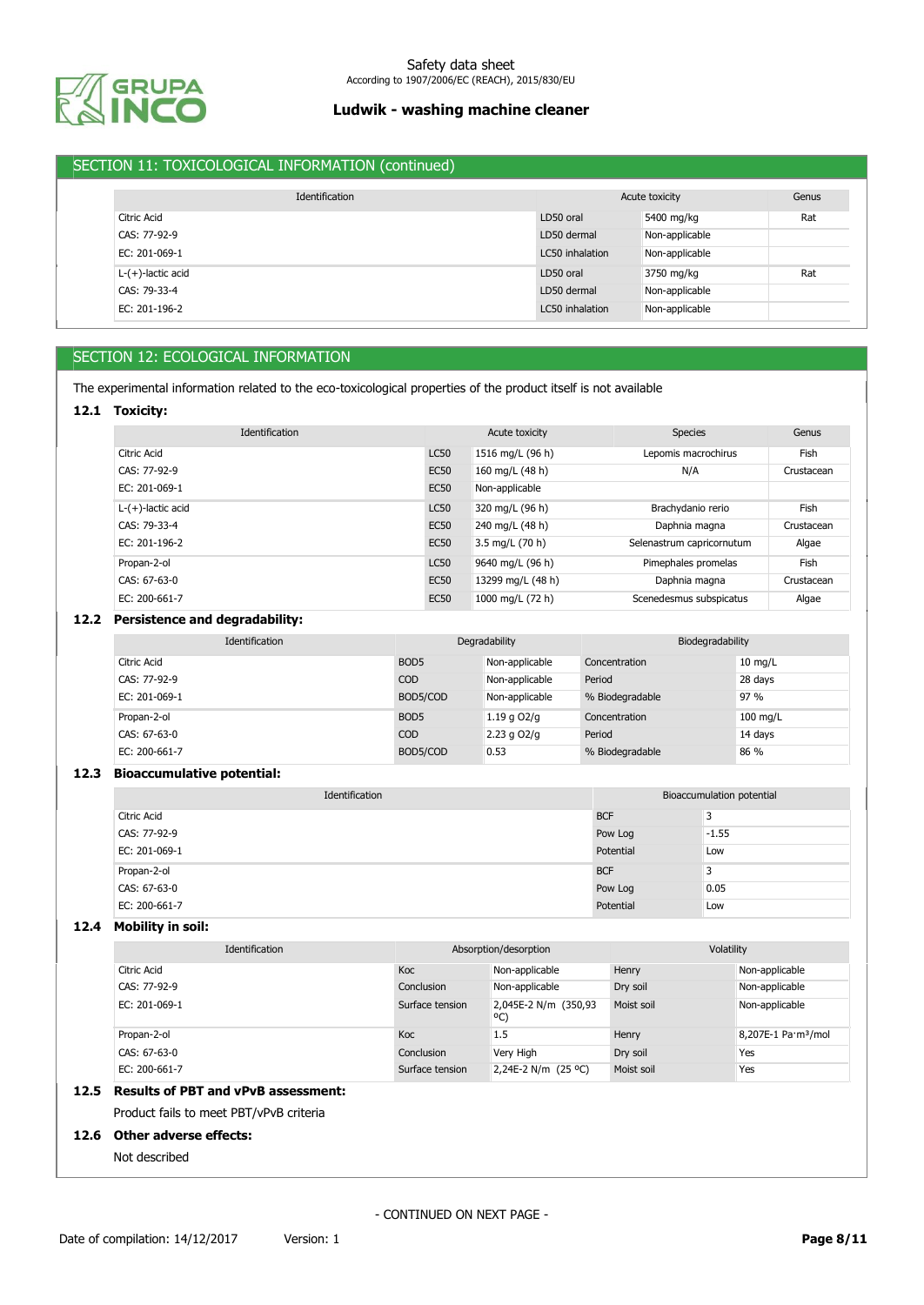

# SECTION 11: TOXICOLOGICAL INFORMATION (continued)

|                      | Identification |                 | Acute toxicity | Genus |
|----------------------|----------------|-----------------|----------------|-------|
| Citric Acid          |                | LD50 oral       | 5400 mg/kg     | Rat   |
| CAS: 77-92-9         |                | LD50 dermal     | Non-applicable |       |
| EC: 201-069-1        |                | LC50 inhalation | Non-applicable |       |
| $L-(+)$ -lactic acid |                | LD50 oral       | 3750 mg/kg     | Rat   |
| CAS: 79-33-4         |                | LD50 dermal     | Non-applicable |       |
| EC: 201-196-2        |                | LC50 inhalation | Non-applicable |       |

# SECTION 12: ECOLOGICAL INFORMATION

The experimental information related to the eco-toxicological properties of the product itself is not available

### **12.1 Toxicity:**

| Identification       |             | Acute toxicity    | <b>Species</b>            | Genus      |
|----------------------|-------------|-------------------|---------------------------|------------|
| Citric Acid          | <b>LC50</b> | 1516 mg/L (96 h)  | Lepomis macrochirus       | Fish       |
| CAS: 77-92-9         | <b>EC50</b> | 160 mg/L (48 h)   | N/A                       | Crustacean |
| EC: 201-069-1        | <b>EC50</b> | Non-applicable    |                           |            |
| $L-(+)$ -lactic acid | <b>LC50</b> | 320 mg/L (96 h)   | Brachydanio rerio         | Fish       |
| CAS: 79-33-4         | <b>EC50</b> | 240 mg/L (48 h)   | Daphnia magna             | Crustacean |
| EC: 201-196-2        | <b>EC50</b> | 3.5 mg/L (70 h)   | Selenastrum capricornutum | Algae      |
| Propan-2-ol          | <b>LC50</b> | 9640 mg/L (96 h)  | Pimephales promelas       | Fish       |
| $CAS: 67-63-0$       | <b>EC50</b> | 13299 mg/L (48 h) | Daphnia magna             | Crustacean |
| EC: 200-661-7        | <b>EC50</b> | 1000 mg/L (72 h)  | Scenedesmus subspicatus   | Algae      |

## **12.2 Persistence and degradability:**

| Identification | Degradability    |                 | Biodegradability |                   |
|----------------|------------------|-----------------|------------------|-------------------|
| Citric Acid    | BOD <sub>5</sub> | Non-applicable  | Concentration    | $10 \text{ mg/L}$ |
| CAS: 77-92-9   | <b>COD</b>       | Non-applicable  | Period           | 28 days           |
| EC: 201-069-1  | BOD5/COD         | Non-applicable  | % Biodegradable  | 97 %              |
| Propan-2-ol    | BOD <sub>5</sub> | 1.19 g $O2/q$   | Concentration    | 100 mg/L          |
| CAS: 67-63-0   | <b>COD</b>       | $2.23$ g $O2/q$ | Period           | 14 days           |
| EC: 200-661-7  | BOD5/COD         | 0.53            | % Biodegradable  | 86 %              |

### **12.3 Bioaccumulative potential:**

| Identification |            | Bioaccumulation potential |
|----------------|------------|---------------------------|
| Citric Acid    | <b>BCF</b> | 3                         |
| CAS: 77-92-9   | Pow Log    | $-1.55$                   |
| EC: 201-069-1  | Potential  | Low                       |
| Propan-2-ol    | <b>BCF</b> | 3                         |
| CAS: 67-63-0   | Pow Log    | 0.05                      |
| EC: 200-661-7  | Potential  | Low                       |

### **12.4 Mobility in soil:**

| Identification | Absorption/desorption |                              | Volatility |                                 |
|----------------|-----------------------|------------------------------|------------|---------------------------------|
| Citric Acid    | Koc                   | Non-applicable               | Henry      | Non-applicable                  |
| CAS: 77-92-9   | Conclusion            | Non-applicable               | Dry soil   | Non-applicable                  |
| EC: 201-069-1  | Surface tension       | 2,045E-2 N/m (350,93)<br>°C) | Moist soil | Non-applicable                  |
| Propan-2-ol    | Koc                   | 1.5                          | Henry      | 8,207E-1 Pa·m <sup>3</sup> /mol |
| CAS: 67-63-0   | Conclusion            | Very High                    | Dry soil   | Yes                             |
| EC: 200-661-7  | Surface tension       | 2,24E-2 N/m (25 °C)          | Moist soil | Yes                             |

# **12.5 Results of PBT and vPvB assessment:**

Product fails to meet PBT/vPvB criteria

## **12.6 Other adverse effects:**

Not described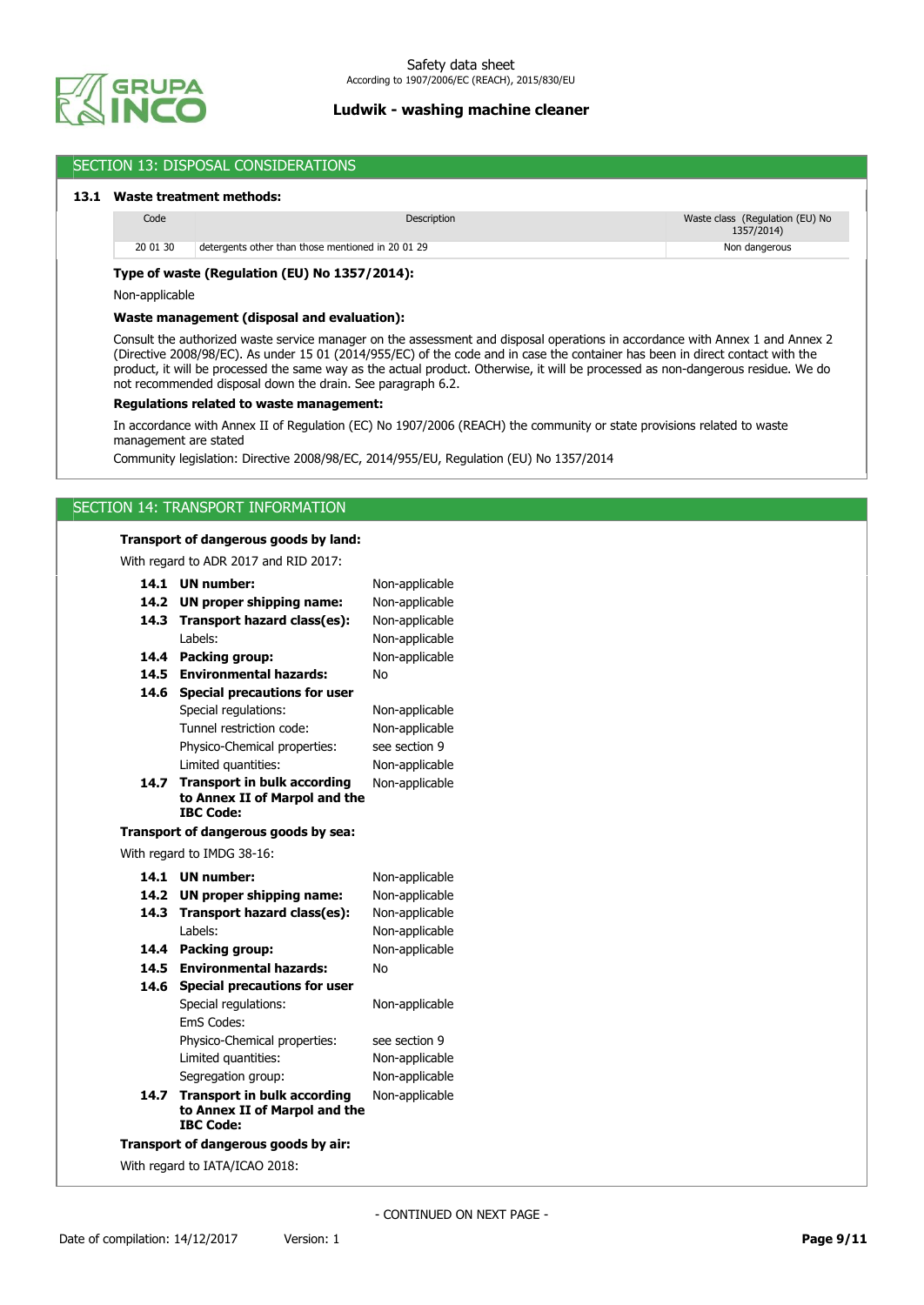

| Code           |                                                                                       | Description                                                                                                                                                                                                                                                                                                                                                                                          | Waste class (Regulation (EU) No |
|----------------|---------------------------------------------------------------------------------------|------------------------------------------------------------------------------------------------------------------------------------------------------------------------------------------------------------------------------------------------------------------------------------------------------------------------------------------------------------------------------------------------------|---------------------------------|
|                |                                                                                       |                                                                                                                                                                                                                                                                                                                                                                                                      | 1357/2014)                      |
| 20 01 30       | detergents other than those mentioned in 20 01 29                                     |                                                                                                                                                                                                                                                                                                                                                                                                      | Non dangerous                   |
|                | Type of waste (Regulation (EU) No 1357/2014):                                         |                                                                                                                                                                                                                                                                                                                                                                                                      |                                 |
| Non-applicable |                                                                                       |                                                                                                                                                                                                                                                                                                                                                                                                      |                                 |
|                | Waste management (disposal and evaluation):                                           |                                                                                                                                                                                                                                                                                                                                                                                                      |                                 |
|                | not recommended disposal down the drain. See paragraph 6.2.                           | Consult the authorized waste service manager on the assessment and disposal operations in accordance with Annex 1 and Annex 2<br>(Directive 2008/98/EC). As under 15 01 (2014/955/EC) of the code and in case the container has been in direct contact with the<br>product, it will be processed the same way as the actual product. Otherwise, it will be processed as non-dangerous residue. We do |                                 |
|                | Regulations related to waste management:                                              |                                                                                                                                                                                                                                                                                                                                                                                                      |                                 |
|                |                                                                                       | In accordance with Annex II of Regulation (EC) No 1907/2006 (REACH) the community or state provisions related to waste                                                                                                                                                                                                                                                                               |                                 |
|                | management are stated                                                                 |                                                                                                                                                                                                                                                                                                                                                                                                      |                                 |
|                |                                                                                       | Community legislation: Directive 2008/98/EC, 2014/955/EU, Regulation (EU) No 1357/2014                                                                                                                                                                                                                                                                                                               |                                 |
|                |                                                                                       |                                                                                                                                                                                                                                                                                                                                                                                                      |                                 |
|                | SECTION 14: TRANSPORT INFORMATION                                                     |                                                                                                                                                                                                                                                                                                                                                                                                      |                                 |
|                |                                                                                       |                                                                                                                                                                                                                                                                                                                                                                                                      |                                 |
|                | Transport of dangerous goods by land:                                                 |                                                                                                                                                                                                                                                                                                                                                                                                      |                                 |
|                | With regard to ADR 2017 and RID 2017:                                                 |                                                                                                                                                                                                                                                                                                                                                                                                      |                                 |
|                | 14.1 UN number:                                                                       | Non-applicable                                                                                                                                                                                                                                                                                                                                                                                       |                                 |
|                | 14.2 UN proper shipping name:                                                         | Non-applicable                                                                                                                                                                                                                                                                                                                                                                                       |                                 |
|                | 14.3 Transport hazard class(es):                                                      | Non-applicable                                                                                                                                                                                                                                                                                                                                                                                       |                                 |
|                | Labels:                                                                               | Non-applicable                                                                                                                                                                                                                                                                                                                                                                                       |                                 |
|                | 14.4 Packing group:                                                                   | Non-applicable                                                                                                                                                                                                                                                                                                                                                                                       |                                 |
|                | 14.5 Environmental hazards:                                                           | No                                                                                                                                                                                                                                                                                                                                                                                                   |                                 |
|                | 14.6 Special precautions for user                                                     |                                                                                                                                                                                                                                                                                                                                                                                                      |                                 |
|                | Special regulations:                                                                  | Non-applicable                                                                                                                                                                                                                                                                                                                                                                                       |                                 |
|                | Tunnel restriction code:                                                              | Non-applicable                                                                                                                                                                                                                                                                                                                                                                                       |                                 |
|                | Physico-Chemical properties:                                                          | see section 9                                                                                                                                                                                                                                                                                                                                                                                        |                                 |
|                | Limited quantities:                                                                   | Non-applicable                                                                                                                                                                                                                                                                                                                                                                                       |                                 |
|                | 14.7 Transport in bulk according<br>to Annex II of Marpol and the<br><b>IBC Code:</b> | Non-applicable                                                                                                                                                                                                                                                                                                                                                                                       |                                 |
|                | Transport of dangerous goods by sea:                                                  |                                                                                                                                                                                                                                                                                                                                                                                                      |                                 |
|                | With regard to IMDG 38-16:                                                            |                                                                                                                                                                                                                                                                                                                                                                                                      |                                 |
|                | 14.1 UN number:                                                                       | Non-applicable                                                                                                                                                                                                                                                                                                                                                                                       |                                 |
|                | 14.2 UN proper shipping name:                                                         | Non-applicable                                                                                                                                                                                                                                                                                                                                                                                       |                                 |
|                | 14.3 Transport hazard class(es):                                                      | Non-applicable                                                                                                                                                                                                                                                                                                                                                                                       |                                 |
|                | Labels:                                                                               | Non-applicable                                                                                                                                                                                                                                                                                                                                                                                       |                                 |
|                | 14.4 Packing group:                                                                   | Non-applicable                                                                                                                                                                                                                                                                                                                                                                                       |                                 |
|                | 14.5 Environmental hazards:                                                           | No                                                                                                                                                                                                                                                                                                                                                                                                   |                                 |
|                | 14.6 Special precautions for user                                                     |                                                                                                                                                                                                                                                                                                                                                                                                      |                                 |
|                | Special regulations:                                                                  | Non-applicable                                                                                                                                                                                                                                                                                                                                                                                       |                                 |
|                | EmS Codes:                                                                            |                                                                                                                                                                                                                                                                                                                                                                                                      |                                 |
|                | Physico-Chemical properties:                                                          | see section 9                                                                                                                                                                                                                                                                                                                                                                                        |                                 |
|                | Limited quantities:                                                                   | Non-applicable                                                                                                                                                                                                                                                                                                                                                                                       |                                 |
|                | Segregation group:                                                                    | Non-applicable                                                                                                                                                                                                                                                                                                                                                                                       |                                 |
|                | 14.7 Transport in bulk according                                                      | Non-applicable                                                                                                                                                                                                                                                                                                                                                                                       |                                 |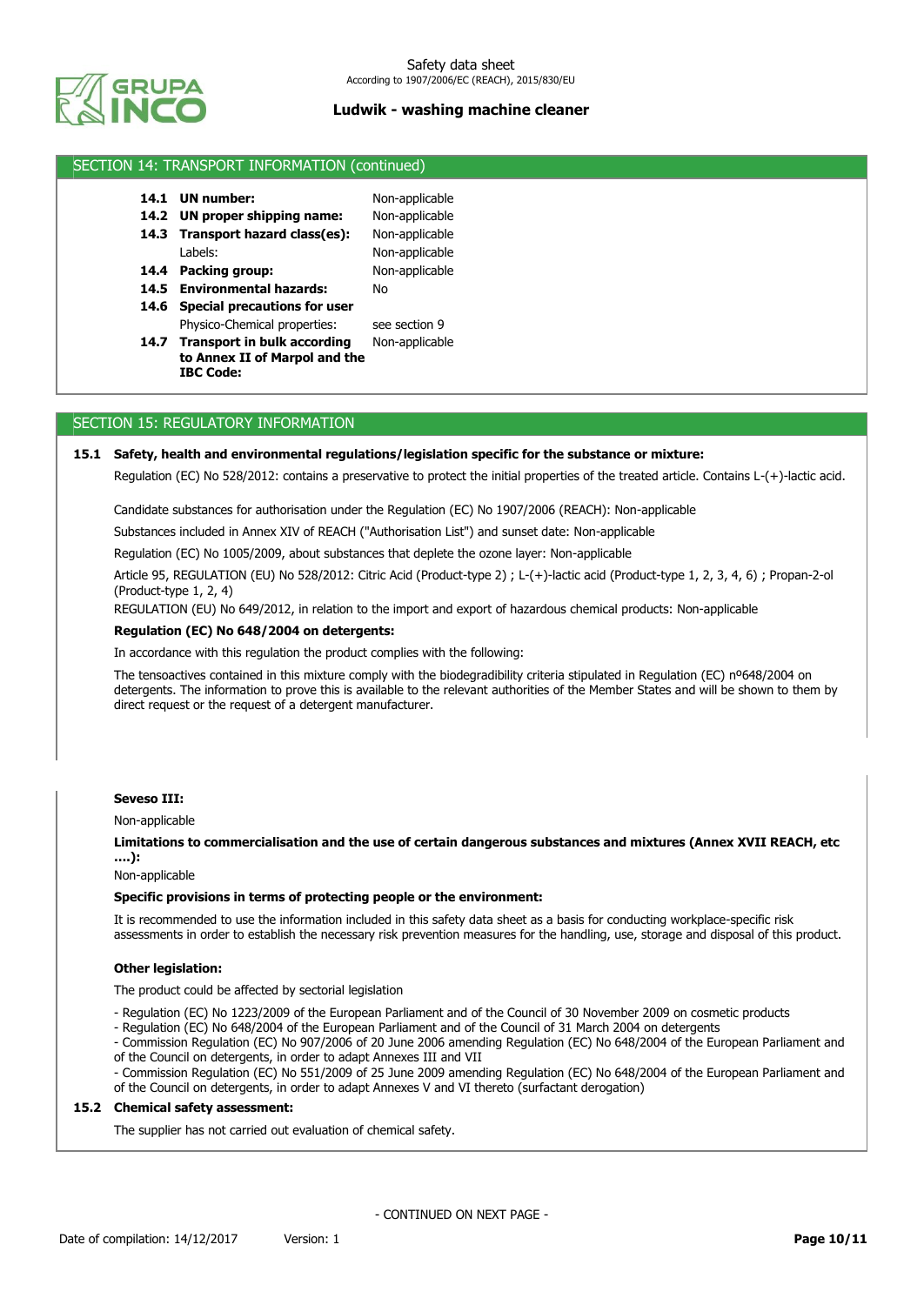

## SECTION 14: TRANSPORT INFORMATION (continued)

| 14.1 UN number:                  | Non-applicable |
|----------------------------------|----------------|
| 14.2 UN proper shipping name:    | Non-applicable |
| 14.3 Transport hazard class(es): | Non-applicable |
| Labels:                          | Non-applicable |
| 14.4 Packing group:              | Non-applicable |
|                                  |                |

- **14.5 Environmental hazards:** No
- **14.6 Special precautions for user** Physico-Chemical properties: see section 9
- 14.7 Transport in bulk according Non-applicable **to Annex II of Marpol and the IBC Code:**

### SECTION 15: REGULATORY INFORMATION

### **15.1 Safety, health and environmental regulations/legislation specific for the substance or mixture:**

Regulation (EC) No 528/2012: contains a preservative to protect the initial properties of the treated article. Contains L-(+)-lactic acid.

Candidate substances for authorisation under the Regulation (EC) No 1907/2006 (REACH): Non-applicable

Substances included in Annex XIV of REACH ("Authorisation List") and sunset date: Non-applicable

Regulation (EC) No 1005/2009, about substances that deplete the ozone layer: Non-applicable

Article 95, REGULATION (EU) No 528/2012: Citric Acid (Product-type 2) ; L-(+)-lactic acid (Product-type 1, 2, 3, 4, 6) ; Propan-2-ol (Product-type 1, 2, 4)

REGULATION (EU) No 649/2012, in relation to the import and export of hazardous chemical products: Non-applicable

#### **Regulation (EC) No 648/2004 on detergents:**

In accordance with this regulation the product complies with the following:

The tensoactives contained in this mixture comply with the biodegradibility criteria stipulated in Regulation (EC) nº648/2004 on detergents. The information to prove this is available to the relevant authorities of the Member States and will be shown to them by direct request or the request of a detergent manufacturer.

### **Seveso III:**

Non-applicable

**Limitations to commercialisation and the use of certain dangerous substances and mixtures (Annex XVII REACH, etc ….):**

Non-applicable

### **Specific provisions in terms of protecting people or the environment:**

It is recommended to use the information included in this safety data sheet as a basis for conducting workplace-specific risk assessments in order to establish the necessary risk prevention measures for the handling, use, storage and disposal of this product.

#### **Other legislation:**

The product could be affected by sectorial legislation

- Regulation (EC) No 1223/2009 of the European Parliament and of the Council of 30 November 2009 on cosmetic products

- Regulation (EC) No 648/2004 of the European Parliament and of the Council of 31 March 2004 on detergents

- Commission Regulation (EC) No 907/2006 of 20 June 2006 amending Regulation (EC) No 648/2004 of the European Parliament and of the Council on detergents, in order to adapt Annexes III and VII

- Commission Regulation (EC) No 551/2009 of 25 June 2009 amending Regulation (EC) No 648/2004 of the European Parliament and of the Council on detergents, in order to adapt Annexes V and VI thereto (surfactant derogation)

### **15.2 Chemical safety assessment:**

The supplier has not carried out evaluation of chemical safety.